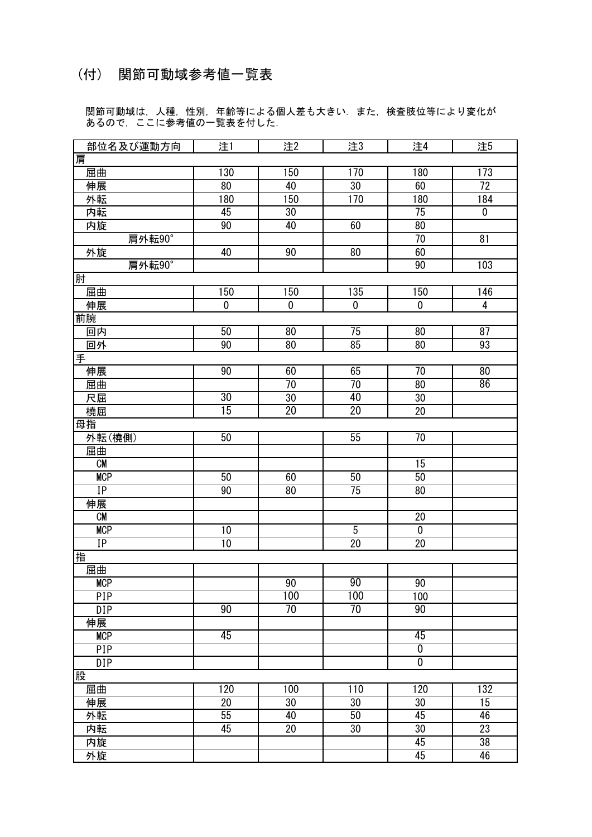## (付) 関節可動域参考値一覧表

 関節可動域は, 人種, 性別, 年齢等による個人差も大きい. また, 検査肢位等により変化が あるので, ここに参考値の一覧表を付した.

| 部位名及び運動方向        | 注1              | 注2              | 注3              | 注4              | 注5              |
|------------------|-----------------|-----------------|-----------------|-----------------|-----------------|
| 哩                |                 |                 |                 |                 |                 |
| 屈曲               | 130             | 150             | 170             | 180             | 173             |
| 伸展               | 80              | 40              | $\overline{30}$ | 60              | $\overline{72}$ |
| 外転               | 180             | 150             | 170             | 180             | 184             |
| 内転               | 45              | $30\,$          |                 | 75              | $\pmb{0}$       |
| 内旋               | 90              | 40              | 60              | 80              |                 |
| 肩外転90°           |                 |                 |                 | 70              | 81              |
| 外旋               | 40              | 90              | $\overline{80}$ | 60              |                 |
| 肩外転90°           |                 |                 |                 | 90              | 103             |
| 肘                |                 |                 |                 |                 |                 |
| 屈曲               | 150             | 150             | 135             | 150             | 146             |
| 伸展               | $\overline{0}$  | $\overline{0}$  | $\overline{0}$  | $\overline{0}$  | $\overline{4}$  |
| 前腕               |                 |                 |                 |                 |                 |
| 回内               | 50              | 80              | 75              | 80              | 87              |
| 回外               | 90              | 80              | 85              | 80              | 93              |
| 手                |                 |                 |                 |                 |                 |
| 伸展               | 90              | 60              | 65              | 70              | 80              |
| 屈曲               |                 | 70              | $\overline{70}$ | 80              | 86              |
| 尺屈               | 30              | $\overline{30}$ | 40              | $\overline{30}$ |                 |
| 橈屈               | 15              | $\overline{20}$ | $\overline{20}$ | 20              |                 |
| 母指               |                 |                 |                 |                 |                 |
| 外転(橈側)           | $\overline{50}$ |                 | 55              | 70              |                 |
| 屈曲               |                 |                 |                 |                 |                 |
| ${\sf CM}$       |                 |                 |                 | 15              |                 |
| <b>MCP</b>       | 50              | 60              | 50              | 50              |                 |
| IP               | 90              | 80              | $\overline{75}$ | 80              |                 |
| 伸展               |                 |                 |                 |                 |                 |
| CM               |                 |                 |                 | $20\,$          |                 |
| <b>MCP</b>       | 10              |                 | $\overline{5}$  | $\pmb{0}$       |                 |
| IP               | 10              |                 | $\overline{20}$ | 20              |                 |
| 喆                |                 |                 |                 |                 |                 |
| 屈曲               |                 |                 |                 |                 |                 |
| <b>MCP</b>       |                 | 90              | 90              | 90              |                 |
| PIP              |                 | 100             | 100             | 100             |                 |
| $\overline{DIP}$ | $\overline{90}$ | 70              | 70              | 90              |                 |
| 伸展               |                 |                 |                 |                 |                 |
| <b>MCP</b>       | 45              |                 |                 | 45              |                 |
| PIP              |                 |                 |                 | $\overline{0}$  |                 |
| DIP              |                 |                 |                 | $\overline{0}$  |                 |
| 股                |                 |                 |                 |                 |                 |
| 屈曲               | 120             | 100             | 110             | 120             | 132             |
| 伸展               | $\overline{20}$ | $\overline{30}$ | $\overline{30}$ | 30              | $\overline{15}$ |
| 外転               | 55              | 40              | 50              | 45              | 46              |
| 内転               | 45              | $\overline{20}$ | 30              | $\overline{30}$ | 23              |
|                  |                 |                 |                 | 45              | 38              |
| 内旋<br>外旋         |                 |                 |                 | 45              | 46              |
|                  |                 |                 |                 |                 |                 |